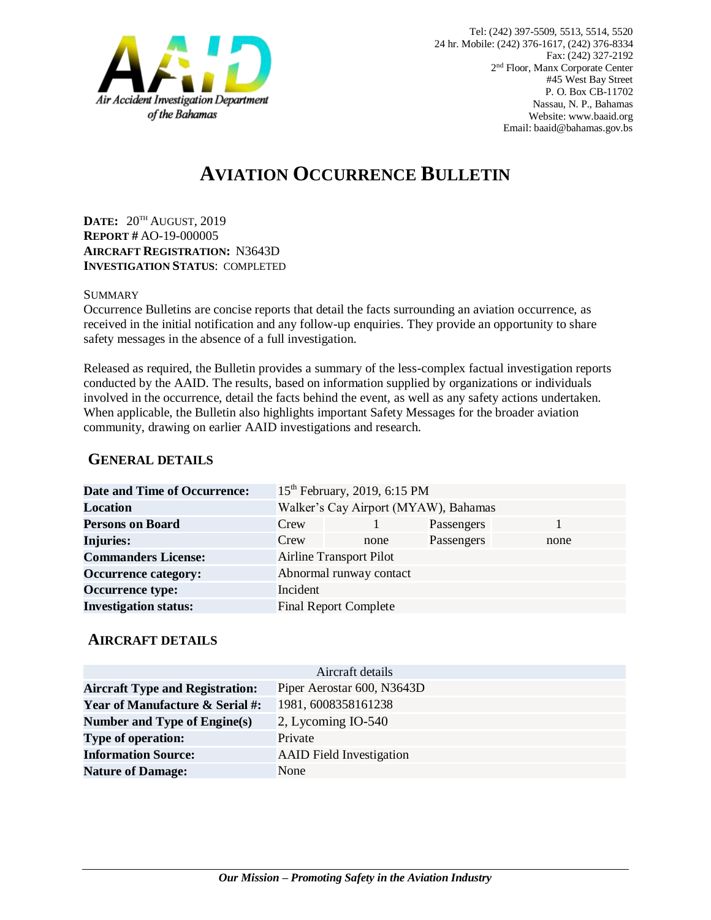

# **AVIATION OCCURRENCE BULLETIN**

**DATE:** 20TH AUGUST, 2019 **REPORT #** AO-19-000005 **AIRCRAFT REGISTRATION:** N3643D **INVESTIGATION STATUS**: COMPLETED

#### SUMMARY

Occurrence Bulletins are concise reports that detail the facts surrounding an aviation occurrence, as received in the initial notification and any follow-up enquiries. They provide an opportunity to share safety messages in the absence of a full investigation*.*

Released as required, the Bulletin provides a summary of the less-complex factual investigation reports conducted by the AAID. The results, based on information supplied by organizations or individuals involved in the occurrence, detail the facts behind the event, as well as any safety actions undertaken. When applicable, the Bulletin also highlights important Safety Messages for the broader aviation community, drawing on earlier AAID investigations and research.

### **GENERAL DETAILS**

| <b>Date and Time of Occurrence:</b> | 15 <sup>th</sup> February, 2019, 6:15 PM |      |            |      |
|-------------------------------------|------------------------------------------|------|------------|------|
| <b>Location</b>                     | Walker's Cay Airport (MYAW), Bahamas     |      |            |      |
| <b>Persons on Board</b>             | Crew                                     |      | Passengers |      |
| <b>Injuries:</b>                    | Crew                                     | none | Passengers | none |
| <b>Commanders License:</b>          | <b>Airline Transport Pilot</b>           |      |            |      |
| <b>Occurrence category:</b>         | Abnormal runway contact                  |      |            |      |
| <b>Occurrence type:</b>             | Incident                                 |      |            |      |
| <b>Investigation status:</b>        | <b>Final Report Complete</b>             |      |            |      |

#### **AIRCRAFT DETAILS**

| Aircraft details                           |                                 |  |  |
|--------------------------------------------|---------------------------------|--|--|
| <b>Aircraft Type and Registration:</b>     | Piper Aerostar 600, N3643D      |  |  |
| <b>Year of Manufacture &amp; Serial #:</b> | 1981, 6008358161238             |  |  |
| Number and Type of Engine(s)               | 2, Lycoming IO-540              |  |  |
| <b>Type of operation:</b>                  | Private                         |  |  |
| <b>Information Source:</b>                 | <b>AAID</b> Field Investigation |  |  |
| <b>Nature of Damage:</b>                   | None                            |  |  |